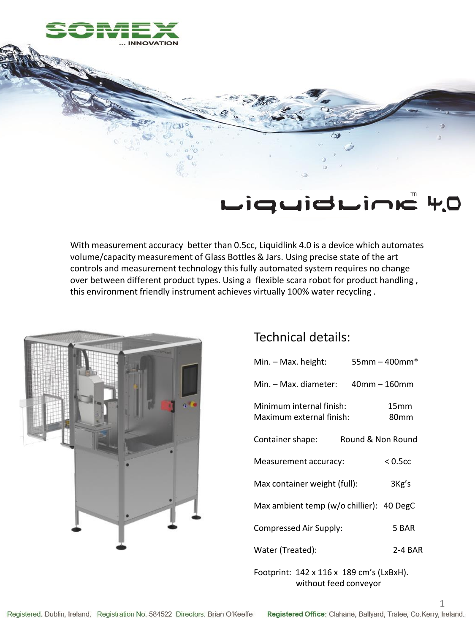

## LiquidLine 4.0

With measurement accuracy better than 0.5cc, Liquidlink 4.0 is a device which automates volume/capacity measurement of Glass Bottles & Jars. Using precise state of the art controls and measurement technology this fully automated system requires no change over between different product types. Using a flexible scara robot for product handling , this environment friendly instrument achieves virtually 100% water recycling .



## Technical details:

| Min. – Max. height:                                  | $55mm - 400mm*$          |
|------------------------------------------------------|--------------------------|
| Min. – Max. diameter: 40mm – 160mm                   |                          |
| Minimum internal finish:<br>Maximum external finish: | 15 <sub>mm</sub><br>80mm |
| Container shape:                                     | Round & Non Round        |
| Measurement accuracy:                                | $< 0.5c$ c               |
| Max container weight (full):                         | 3Kg's                    |
| Max ambient temp (w/o chillier): 40 DegC             |                          |
| Compressed Air Supply:                               | 5 BAR                    |
| Water (Treated):                                     | 2-4 BAR                  |
|                                                      |                          |

Footprint: 142 x 116 x 189 cm's (LxBxH). without feed conveyor

1